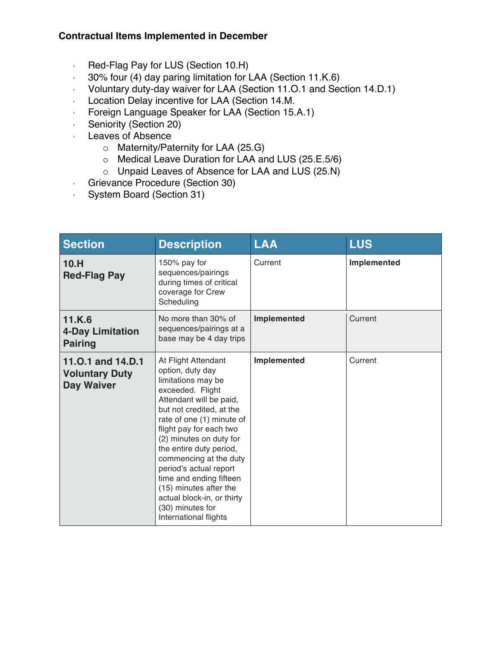## **Contractual Items Implemented in December**

- Red-Flag Pay for LUS (Section 10.H)
- 30% four (4) day paring limitation for LAA (Section 11.K.6)
- Voluntary duty-day waiver for LAA (Section 11.O.1 and Section 14.D.1)
- Location Delay incentive for LAA (Section 14.M.
- Foreign Language Speaker for LAA (Section 15.A.1)
- Seniority (Section 20)
- Leaves of Absence
	- o Maternity/Paternity for LAA (25.G)
	- o Medical Leave Duration for LAA and LUS (25.E.5/6)
	- o Unpaid Leaves of Absence for LAA and LUS (25.N)
- Grievance Procedure (Section 30)
- System Board (Section 31)

| <b>Section</b>                                           | <b>Description</b>                                                                                                                                                                                                                                                                                                                                                                                                                         | <b>LAA</b>  | <b>LUS</b>  |
|----------------------------------------------------------|--------------------------------------------------------------------------------------------------------------------------------------------------------------------------------------------------------------------------------------------------------------------------------------------------------------------------------------------------------------------------------------------------------------------------------------------|-------------|-------------|
| 10.H<br><b>Red-Flag Pay</b>                              | 150% pay for<br>sequences/pairings<br>during times of critical<br>coverage for Crew<br>Scheduling                                                                                                                                                                                                                                                                                                                                          | Current     | Implemented |
| 11.K.6<br>4-Day Limitation<br><b>Pairing</b>             | No more than 30% of<br>sequences/pairings at a<br>base may be 4 day trips                                                                                                                                                                                                                                                                                                                                                                  | Implemented | Current     |
| 11.0.1 and 14.D.1<br><b>Voluntary Duty</b><br>Day Waiver | At Flight Attendant<br>option, duty day<br>limitations may be<br>exceeded. Flight<br>Attendant will be paid,<br>but not credited, at the<br>rate of one (1) minute of<br>flight pay for each two<br>(2) minutes on duty for<br>the entire duty period,<br>commencing at the duty<br>period's actual report<br>time and ending fifteen<br>(15) minutes after the<br>actual block-in, or thirty<br>(30) minutes for<br>International flights | Implemented | Current     |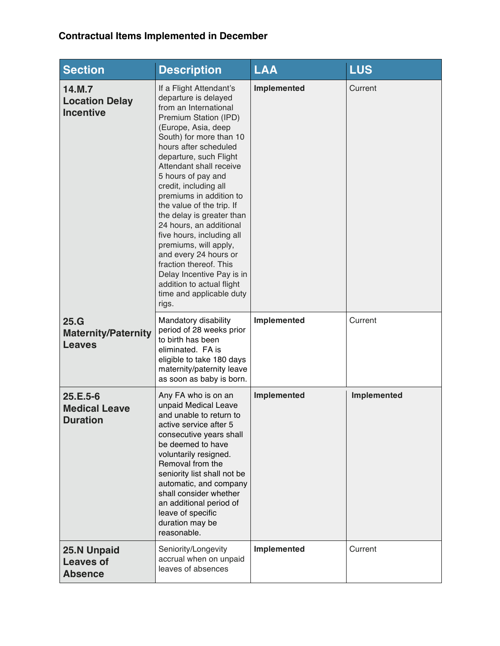## **Contractual Items Implemented in December**

| <b>Section</b>                                        | <b>Description</b>                                                                                                                                                                                                                                                                                                                                                                                                                                                                                                                                                                                       | <b>LAA</b>  | <b>LUS</b>  |
|-------------------------------------------------------|----------------------------------------------------------------------------------------------------------------------------------------------------------------------------------------------------------------------------------------------------------------------------------------------------------------------------------------------------------------------------------------------------------------------------------------------------------------------------------------------------------------------------------------------------------------------------------------------------------|-------------|-------------|
| 14.M.7<br><b>Location Delay</b><br><b>Incentive</b>   | If a Flight Attendant's<br>departure is delayed<br>from an International<br>Premium Station (IPD)<br>(Europe, Asia, deep<br>South) for more than 10<br>hours after scheduled<br>departure, such Flight<br>Attendant shall receive<br>5 hours of pay and<br>credit, including all<br>premiums in addition to<br>the value of the trip. If<br>the delay is greater than<br>24 hours, an additional<br>five hours, including all<br>premiums, will apply,<br>and every 24 hours or<br>fraction thereof. This<br>Delay Incentive Pay is in<br>addition to actual flight<br>time and applicable duty<br>rigs. | Implemented | Current     |
| 25.G<br><b>Maternity/Paternity</b><br><b>Leaves</b>   | Mandatory disability<br>period of 28 weeks prior<br>to birth has been<br>eliminated. FA is<br>eligible to take 180 days<br>maternity/paternity leave<br>as soon as baby is born.                                                                                                                                                                                                                                                                                                                                                                                                                         | Implemented | Current     |
| $25.E.5-6$<br><b>Medical Leave</b><br><b>Duration</b> | Any FA who is on an<br>unpaid Medical Leave<br>and unable to return to<br>active service after 5<br>consecutive years shall<br>be deemed to have<br>voluntarily resigned.<br>Removal from the<br>seniority list shall not be<br>automatic, and company<br>shall consider whether<br>an additional period of<br>leave of specific<br>duration may be<br>reasonable.                                                                                                                                                                                                                                       | Implemented | Implemented |
| 25.N Unpaid<br><b>Leaves of</b><br><b>Absence</b>     | Seniority/Longevity<br>accrual when on unpaid<br>leaves of absences                                                                                                                                                                                                                                                                                                                                                                                                                                                                                                                                      | Implemented | Current     |